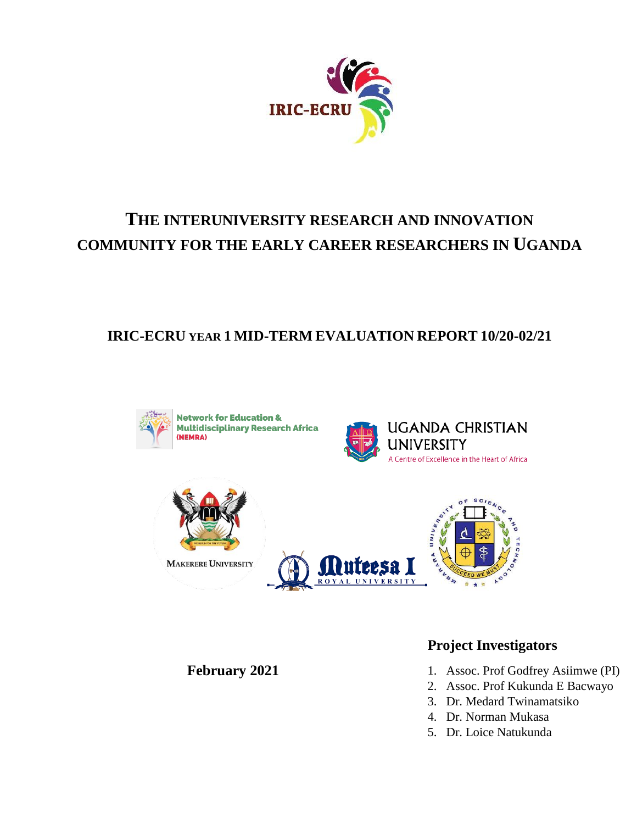

# **THE INTERUNIVERSITY RESEARCH AND INNOVATION COMMUNITY FOR THE EARLY CAREER RESEARCHERS IN UGANDA**

## **IRIC-ECRU YEAR 1 MID-TERM EVALUATION REPORT 10/20-02/21**



**Network for Education & Multidisciplinary Research Africa** 





**MAKERERE UNIVERSITY** 



**February 2021**

### **Project Investigators**

- 1. Assoc. Prof Godfrey Asiimwe (PI)
- 2. Assoc. Prof Kukunda E Bacwayo
- 3. Dr. Medard Twinamatsiko
- 4. Dr. Norman Mukasa
- 5. Dr. Loice Natukunda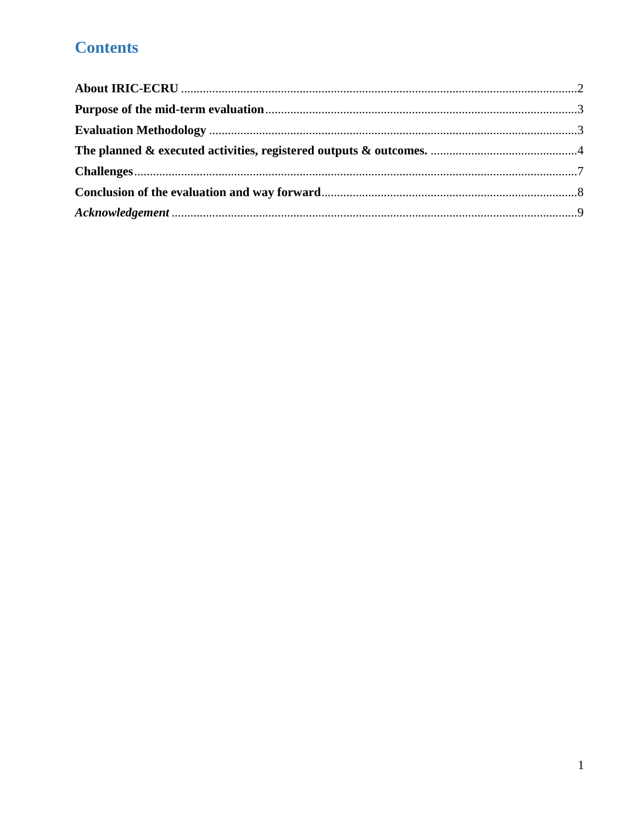# **Contents**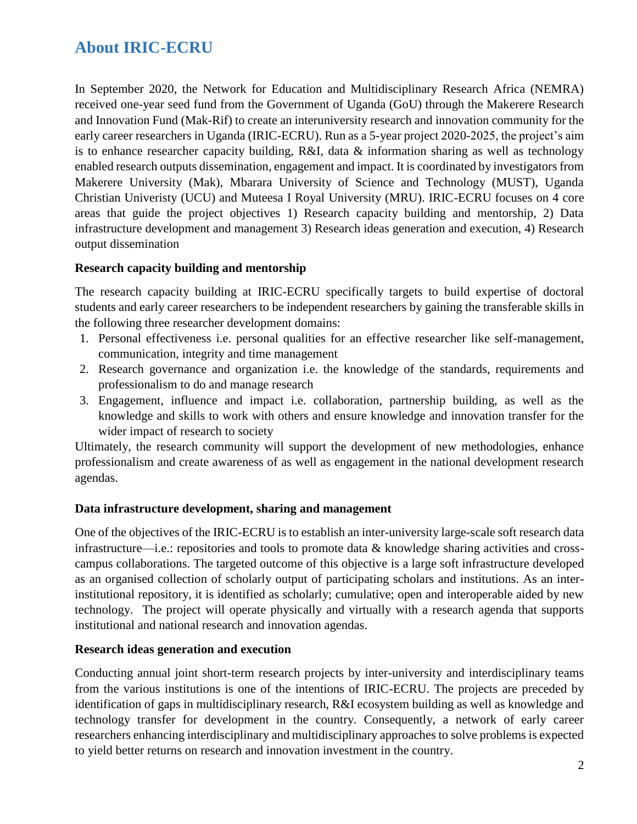# <span id="page-2-0"></span>**About IRIC-ECRU**

In September 2020, the Network for Education and Multidisciplinary Research Africa (NEMRA) received one-year seed fund from the Government of Uganda (GoU) through the Makerere Research and Innovation Fund (Mak-Rif) to create an interuniversity research and innovation community for the early career researchers in Uganda (IRIC-ECRU). Run as a 5-year project 2020-2025, the project's aim is to enhance researcher capacity building, R&I, data & information sharing as well as technology enabled research outputs dissemination, engagement and impact. It is coordinated by investigators from Makerere University (Mak), Mbarara University of Science and Technology (MUST), Uganda Christian Univeristy (UCU) and Muteesa I Royal University (MRU). IRIC-ECRU focuses on 4 core areas that guide the project objectives 1) Research capacity building and mentorship, 2) Data infrastructure development and management 3) Research ideas generation and execution, 4) Research output dissemination

### **Research capacity building and mentorship**

The research capacity building at IRIC-ECRU specifically targets to build expertise of doctoral students and early career researchers to be independent researchers by gaining the transferable skills in the following three researcher development domains:

- 1. Personal effectiveness i.e. personal qualities for an effective researcher like self-management, communication, integrity and time management
- 2. Research governance and organization i.e. the knowledge of the standards, requirements and professionalism to do and manage research
- 3. Engagement, influence and impact i.e. collaboration, partnership building, as well as the knowledge and skills to work with others and ensure knowledge and innovation transfer for the wider impact of research to society

Ultimately, the research community will support the development of new methodologies, enhance professionalism and create awareness of as well as engagement in the national development research agendas.

### **Data infrastructure development, sharing and management**

One of the objectives of the IRIC-ECRU is to establish an inter-university large-scale soft research data infrastructure—i.e.: repositories and tools to promote data  $\&$  knowledge sharing activities and crosscampus collaborations. The targeted outcome of this objective is a large soft infrastructure developed as an organised collection of scholarly output of participating scholars and institutions. As an interinstitutional repository, it is identified as scholarly; cumulative; open and interoperable aided by new technology. The project will operate physically and virtually with a research agenda that supports institutional and national research and innovation agendas.

### **Research ideas generation and execution**

Conducting annual joint short-term research projects by inter-university and interdisciplinary teams from the various institutions is one of the intentions of IRIC-ECRU. The projects are preceded by identification of gaps in multidisciplinary research, R&I ecosystem building as well as knowledge and technology transfer for development in the country. Consequently, a network of early career researchers enhancing interdisciplinary and multidisciplinary approaches to solve problems is expected to yield better returns on research and innovation investment in the country.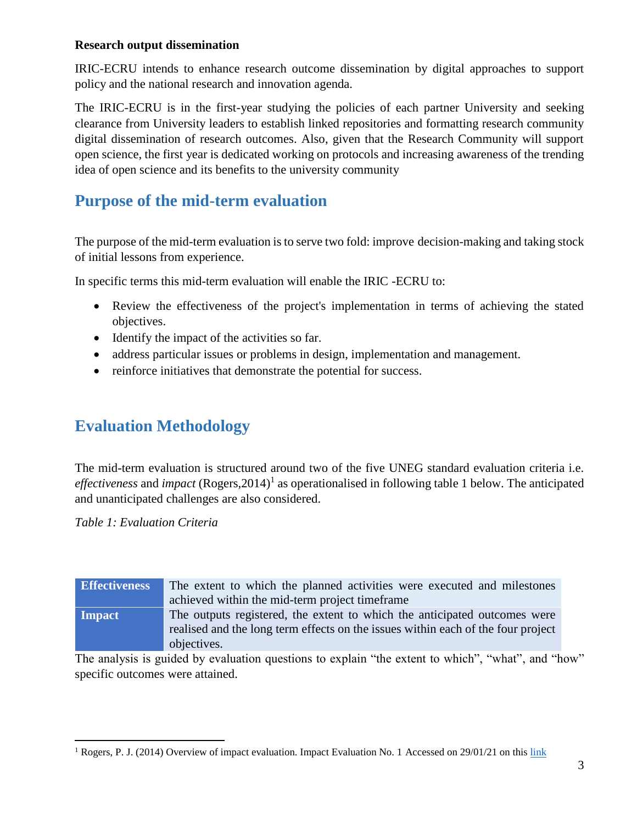### **Research output dissemination**

IRIC-ECRU intends to enhance research outcome dissemination by digital approaches to support policy and the national research and innovation agenda.

The IRIC-ECRU is in the first-year studying the policies of each partner University and seeking clearance from University leaders to establish linked repositories and formatting research community digital dissemination of research outcomes. Also, given that the Research Community will support open science, the first year is dedicated working on protocols and increasing awareness of the trending idea of open science and its benefits to the university community

### <span id="page-3-0"></span>**Purpose of the mid-term evaluation**

The purpose of the mid-term evaluation is to serve two fold: improve decision-making and taking stock of initial lessons from experience.

In specific terms this mid-term evaluation will enable the IRIC -ECRU to:

- Review the effectiveness of the project's implementation in terms of achieving the stated objectives.
- Identify the impact of the activities so far.
- address particular issues or problems in design, implementation and management.
- reinforce initiatives that demonstrate the potential for success.

### <span id="page-3-1"></span>**Evaluation Methodology**

The mid-term evaluation is structured around two of the five UNEG standard evaluation criteria i.e. effectiveness and *impact* (Rogers, 2014)<sup>1</sup> as operationalised in following table 1 below. The anticipated and unanticipated challenges are also considered.

*Table 1: Evaluation Criteria*

 $\overline{\phantom{a}}$ 

| <b>Effectiveness</b> | The extent to which the planned activities were executed and milestones<br>achieved within the mid-term project time frame                                                   |  |
|----------------------|------------------------------------------------------------------------------------------------------------------------------------------------------------------------------|--|
| <b>Impact</b>        | The outputs registered, the extent to which the anticipated outcomes were<br>realised and the long term effects on the issues within each of the four project<br>objectives. |  |

The analysis is guided by evaluation questions to explain "the extent to which", "what", and "how" specific outcomes were attained.

<sup>&</sup>lt;sup>1</sup> Rogers, P. J. (2014) Overview of impact evaluation. Impact Evaluation No. 1 Accessed on 29/01/21 on this [link](https://www.unicef-irc.org/KM/IE/img/downloads/Overview_ENG.pdf)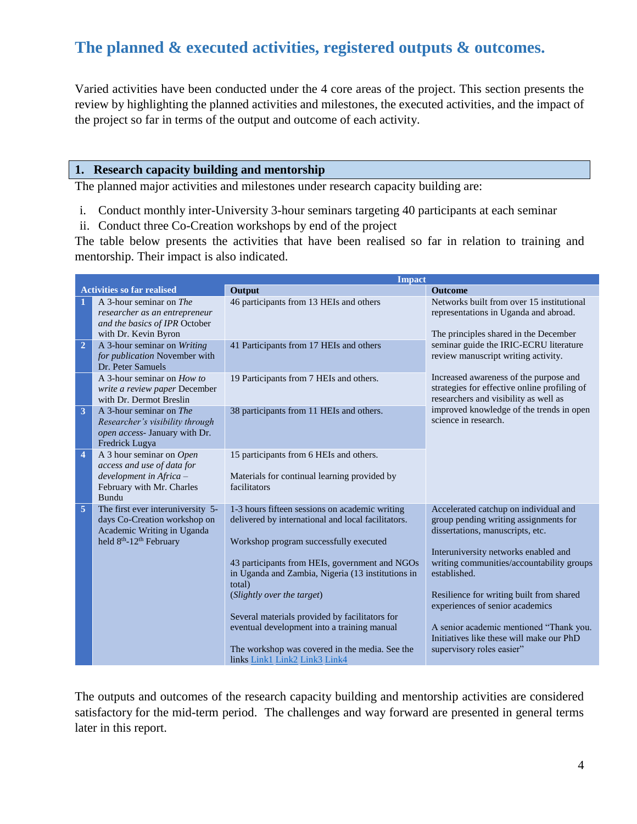# <span id="page-4-0"></span>**The planned & executed activities, registered outputs & outcomes.**

Varied activities have been conducted under the 4 core areas of the project. This section presents the review by highlighting the planned activities and milestones, the executed activities, and the impact of the project so far in terms of the output and outcome of each activity.

#### **1. Research capacity building and mentorship**

The planned major activities and milestones under research capacity building are:

- i. Conduct monthly inter-University 3-hour seminars targeting 40 participants at each seminar
- ii. Conduct three Co-Creation workshops by end of the project

The table below presents the activities that have been realised so far in relation to training and mentorship. Their impact is also indicated.

|                                   | <b>Impact</b>                                                                                                                                      |                                                                                                                                                                                                                                                                                                                                                                                                                                                                                   |                                                                                                                                                                                                                                                                                                                                                                                                                            |  |
|-----------------------------------|----------------------------------------------------------------------------------------------------------------------------------------------------|-----------------------------------------------------------------------------------------------------------------------------------------------------------------------------------------------------------------------------------------------------------------------------------------------------------------------------------------------------------------------------------------------------------------------------------------------------------------------------------|----------------------------------------------------------------------------------------------------------------------------------------------------------------------------------------------------------------------------------------------------------------------------------------------------------------------------------------------------------------------------------------------------------------------------|--|
| <b>Activities so far realised</b> |                                                                                                                                                    | Output                                                                                                                                                                                                                                                                                                                                                                                                                                                                            | <b>Outcome</b>                                                                                                                                                                                                                                                                                                                                                                                                             |  |
| 1                                 | A 3-hour seminar on The<br>researcher as an entrepreneur<br>and the basics of IPR October<br>with Dr. Kevin Byron                                  | 46 participants from 13 HEIs and others                                                                                                                                                                                                                                                                                                                                                                                                                                           | Networks built from over 15 institutional<br>representations in Uganda and abroad.<br>The principles shared in the December                                                                                                                                                                                                                                                                                                |  |
| $\overline{2}$                    | A 3-hour seminar on Writing<br>for publication November with<br>Dr. Peter Samuels                                                                  | 41 Participants from 17 HEIs and others                                                                                                                                                                                                                                                                                                                                                                                                                                           | seminar guide the IRIC-ECRU literature<br>review manuscript writing activity.                                                                                                                                                                                                                                                                                                                                              |  |
|                                   | A 3-hour seminar on $How to$<br>write a review paper December<br>with Dr. Dermot Breslin                                                           | 19 Participants from 7 HEIs and others.                                                                                                                                                                                                                                                                                                                                                                                                                                           | Increased awareness of the purpose and<br>strategies for effective online profiling of<br>researchers and visibility as well as                                                                                                                                                                                                                                                                                            |  |
| $\overline{\mathbf{3}}$           | A 3-hour seminar on The<br>Researcher's visibility through<br>open access- January with Dr.<br>Fredrick Lugya                                      | 38 participants from 11 HEIs and others.                                                                                                                                                                                                                                                                                                                                                                                                                                          | improved knowledge of the trends in open<br>science in research.                                                                                                                                                                                                                                                                                                                                                           |  |
| $\overline{4}$                    | A 3 hour seminar on Open<br>access and use of data for<br>development in Africa -<br>February with Mr. Charles<br>Bundu                            | 15 participants from 6 HEIs and others.<br>Materials for continual learning provided by<br>facilitators                                                                                                                                                                                                                                                                                                                                                                           |                                                                                                                                                                                                                                                                                                                                                                                                                            |  |
| 5                                 | The first ever interuniversity 5-<br>days Co-Creation workshop on<br>Academic Writing in Uganda<br>held 8 <sup>th</sup> -12 <sup>th</sup> February | 1-3 hours fifteen sessions on academic writing<br>delivered by international and local facilitators.<br>Workshop program successfully executed<br>43 participants from HEIs, government and NGOs<br>in Uganda and Zambia, Nigeria (13 institutions in<br>total)<br>(Slightly over the target)<br>Several materials provided by facilitators for<br>eventual development into a training manual<br>The workshop was covered in the media. See the<br>links Link1 Link2 Link3 Link4 | Accelerated catchup on individual and<br>group pending writing assignments for<br>dissertations, manuscripts, etc.<br>Interuniversity networks enabled and<br>writing communities/accountability groups<br>established.<br>Resilience for writing built from shared<br>experiences of senior academics<br>A senior academic mentioned "Thank you.<br>Initiatives like these will make our PhD<br>supervisory roles easier" |  |

The outputs and outcomes of the research capacity building and mentorship activities are considered satisfactory for the mid-term period. The challenges and way forward are presented in general terms later in this report.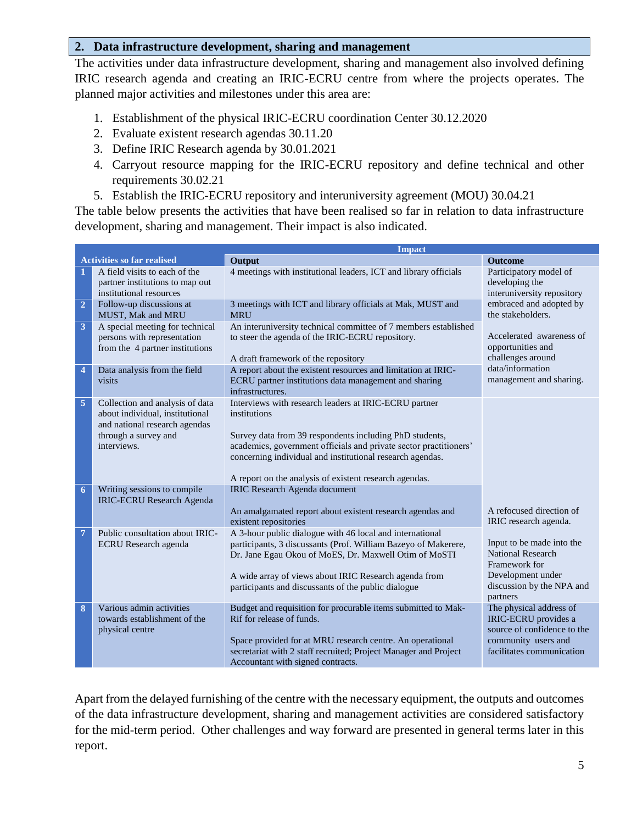#### **2. Data infrastructure development, sharing and management**

The activities under data infrastructure development, sharing and management also involved defining IRIC research agenda and creating an IRIC-ECRU centre from where the projects operates. The planned major activities and milestones under this area are:

- 1. Establishment of the physical IRIC-ECRU coordination Center 30.12.2020
- 2. Evaluate existent research agendas 30.11.20
- 3. Define IRIC Research agenda by 30.01.2021
- 4. Carryout resource mapping for the IRIC-ECRU repository and define technical and other requirements 30.02.21
- 5. Establish the IRIC-ECRU repository and interuniversity agreement (MOU) 30.04.21

The table below presents the activities that have been realised so far in relation to data infrastructure development, sharing and management. Their impact is also indicated.

|                                   | <b>Impact</b>                                                                                                                              |                                                                                                                                                                                                                                                                                                                              |                                                                                                                                      |
|-----------------------------------|--------------------------------------------------------------------------------------------------------------------------------------------|------------------------------------------------------------------------------------------------------------------------------------------------------------------------------------------------------------------------------------------------------------------------------------------------------------------------------|--------------------------------------------------------------------------------------------------------------------------------------|
| <b>Activities so far realised</b> |                                                                                                                                            | Output                                                                                                                                                                                                                                                                                                                       | <b>Outcome</b>                                                                                                                       |
| 1                                 | A field visits to each of the<br>partner institutions to map out<br>institutional resources                                                | 4 meetings with institutional leaders, ICT and library officials                                                                                                                                                                                                                                                             | Participatory model of<br>developing the<br>interuniversity repository                                                               |
| $\overline{2}$                    | Follow-up discussions at<br><b>MUST, Mak and MRU</b>                                                                                       | 3 meetings with ICT and library officials at Mak, MUST and<br><b>MRU</b>                                                                                                                                                                                                                                                     | embraced and adopted by<br>the stakeholders.                                                                                         |
| $\overline{\mathbf{3}}$           | A special meeting for technical<br>persons with representation<br>from the 4 partner institutions                                          | An interuniversity technical committee of 7 members established<br>to steer the agenda of the IRIC-ECRU repository.<br>A draft framework of the repository                                                                                                                                                                   | Accelerated awareness of<br>opportunities and<br>challenges around                                                                   |
| $\overline{4}$                    | Data analysis from the field<br>visits                                                                                                     | A report about the existent resources and limitation at IRIC-<br>ECRU partner institutions data management and sharing<br>infrastructures.                                                                                                                                                                                   | data/information<br>management and sharing.                                                                                          |
| 5                                 | Collection and analysis of data<br>about individual, institutional<br>and national research agendas<br>through a survey and<br>interviews. | Interviews with research leaders at IRIC-ECRU partner<br>institutions<br>Survey data from 39 respondents including PhD students,<br>academics, government officials and private sector practitioners'<br>concerning individual and institutional research agendas.<br>A report on the analysis of existent research agendas. |                                                                                                                                      |
| 6                                 | Writing sessions to compile<br><b>IRIC-ECRU Research Agenda</b>                                                                            | <b>IRIC Research Agenda document</b><br>An amalgamated report about existent research agendas and<br>existent repositories                                                                                                                                                                                                   | A refocused direction of<br>IRIC research agenda.                                                                                    |
| $\overline{7}$                    | Public consultation about IRIC-<br><b>ECRU</b> Research agenda                                                                             | A 3-hour public dialogue with 46 local and international<br>participants, 3 discussants (Prof. William Bazeyo of Makerere,<br>Dr. Jane Egau Okou of MoES, Dr. Maxwell Otim of MoSTI<br>A wide array of views about IRIC Research agenda from<br>participants and discussants of the public dialogue                          | Input to be made into the<br><b>National Research</b><br>Framework for<br>Development under<br>discussion by the NPA and<br>partners |
| 8                                 | Various admin activities<br>towards establishment of the<br>physical centre                                                                | Budget and requisition for procurable items submitted to Mak-<br>Rif for release of funds.<br>Space provided for at MRU research centre. An operational<br>secretariat with 2 staff recruited; Project Manager and Project<br>Accountant with signed contracts.                                                              | The physical address of<br>IRIC-ECRU provides a<br>source of confidence to the<br>community users and<br>facilitates communication   |

Apart from the delayed furnishing of the centre with the necessary equipment, the outputs and outcomes of the data infrastructure development, sharing and management activities are considered satisfactory for the mid-term period. Other challenges and way forward are presented in general terms later in this report.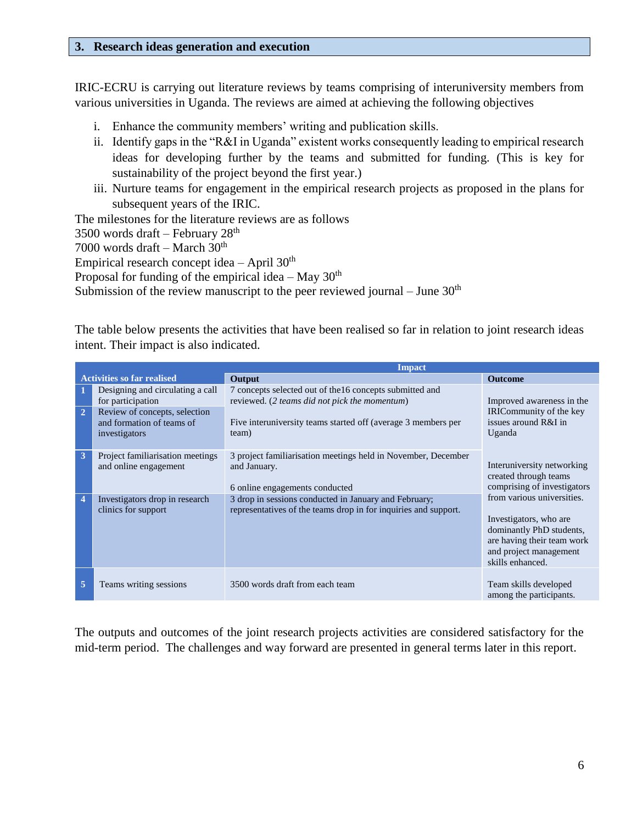#### **3. Research ideas generation and execution**

IRIC-ECRU is carrying out literature reviews by teams comprising of interuniversity members from various universities in Uganda. The reviews are aimed at achieving the following objectives

- i. Enhance the community members' writing and publication skills.
- ii. Identify gaps in the "R&I in Uganda" existent works consequently leading to empirical research ideas for developing further by the teams and submitted for funding. (This is key for sustainability of the project beyond the first year.)
- iii. Nurture teams for engagement in the empirical research projects as proposed in the plans for subsequent years of the IRIC.

The milestones for the literature reviews are as follows 3500 words draft – February 28th 7000 words draft – March  $30<sup>th</sup>$ Empirical research concept idea – April  $30<sup>th</sup>$ Proposal for funding of the empirical idea – May  $30<sup>th</sup>$ Submission of the review manuscript to the peer reviewed journal – June  $30<sup>th</sup>$ 

The table below presents the activities that have been realised so far in relation to joint research ideas intent. Their impact is also indicated.

|                                   | <b>Impact</b>                                                                                                                        |                                                                                                                                                                                     |                                                                                                                                                              |
|-----------------------------------|--------------------------------------------------------------------------------------------------------------------------------------|-------------------------------------------------------------------------------------------------------------------------------------------------------------------------------------|--------------------------------------------------------------------------------------------------------------------------------------------------------------|
| <b>Activities so far realised</b> |                                                                                                                                      | Output                                                                                                                                                                              | <b>Outcome</b>                                                                                                                                               |
| $\overline{2}$                    | Designing and circulating a call<br>for participation<br>Review of concepts, selection<br>and formation of teams of<br>investigators | 7 concepts selected out of the 16 concepts submitted and<br>reviewed. (2 teams did not pick the momentum)<br>Five interuniversity teams started off (average 3 members per<br>team) | Improved awareness in the<br>IRICommunity of the key<br>issues around $R&I$ in<br>Uganda                                                                     |
| 3                                 | Project familiarisation meetings<br>and online engagement                                                                            | 3 project familiarisation meetings held in November, December<br>and January.<br>6 online engagements conducted                                                                     | Interuniversity networking<br>created through teams<br>comprising of investigators                                                                           |
| $\overline{\mathbf{4}}$           | Investigators drop in research<br>clinics for support                                                                                | 3 drop in sessions conducted in January and February;<br>representatives of the teams drop in for inquiries and support.                                                            | from various universities.<br>Investigators, who are<br>dominantly PhD students,<br>are having their team work<br>and project management<br>skills enhanced. |
| 5                                 | Teams writing sessions                                                                                                               | 3500 words draft from each team                                                                                                                                                     | Team skills developed<br>among the participants.                                                                                                             |

The outputs and outcomes of the joint research projects activities are considered satisfactory for the mid-term period. The challenges and way forward are presented in general terms later in this report.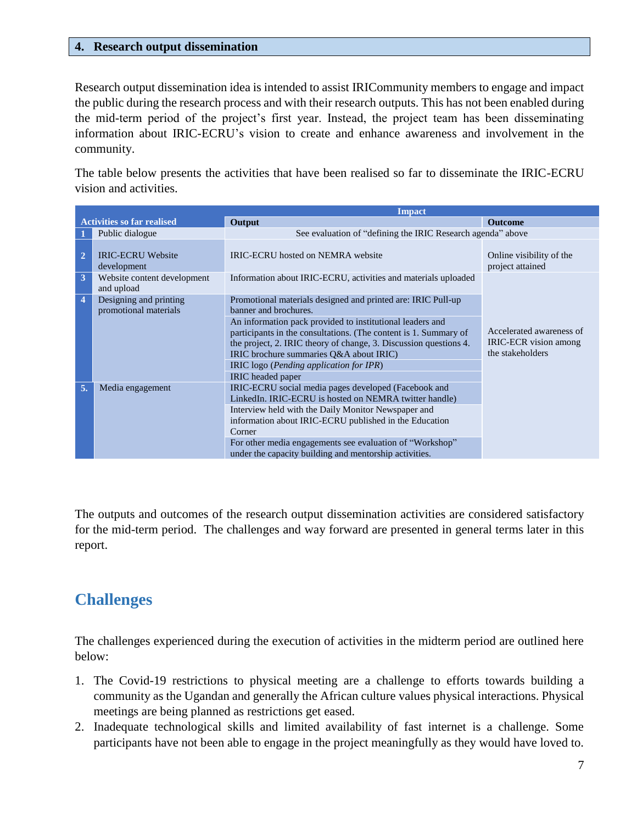#### **4. Research output dissemination**

Research output dissemination idea is intended to assist IRICommunity members to engage and impact the public during the research process and with their research outputs. This has not been enabled during the mid-term period of the project's first year. Instead, the project team has been disseminating information about IRIC-ECRU's vision to create and enhance awareness and involvement in the community.

The table below presents the activities that have been realised so far to disseminate the IRIC-ECRU vision and activities.

| <b>Impact</b>                               |                                                 |                                                                                                                                                                                                                                               |                                                                       |
|---------------------------------------------|-------------------------------------------------|-----------------------------------------------------------------------------------------------------------------------------------------------------------------------------------------------------------------------------------------------|-----------------------------------------------------------------------|
| <b>Activities so far realised</b><br>Output |                                                 |                                                                                                                                                                                                                                               | <b>Outcome</b>                                                        |
|                                             | Public dialogue                                 | See evaluation of "defining the IRIC Research agenda" above                                                                                                                                                                                   |                                                                       |
| $\overline{2}$                              | <b>IRIC-ECRU Website</b><br>development         | IRIC-ECRU hosted on NEMRA website                                                                                                                                                                                                             | Online visibility of the<br>project attained                          |
| $\overline{\mathbf{3}}$                     | Website content development<br>and upload       | Information about IRIC-ECRU, activities and materials uploaded                                                                                                                                                                                |                                                                       |
| $\overline{\mathbf{4}}$                     | Designing and printing<br>promotional materials | Promotional materials designed and printed are: IRIC Pull-up<br>banner and brochures.                                                                                                                                                         |                                                                       |
|                                             |                                                 | An information pack provided to institutional leaders and<br>participants in the consultations. (The content is 1. Summary of<br>the project, 2. IRIC theory of change, 3. Discussion questions 4.<br>IRIC brochure summaries Q&A about IRIC) | Accelerated awareness of<br>IRIC-ECR vision among<br>the stakeholders |
|                                             |                                                 | IRIC logo (Pending application for IPR)<br>IRIC headed paper                                                                                                                                                                                  |                                                                       |
| 5.                                          | Media engagement                                | IRIC-ECRU social media pages developed (Facebook and<br>LinkedIn. IRIC-ECRU is hosted on NEMRA twitter handle)                                                                                                                                |                                                                       |
|                                             |                                                 | Interview held with the Daily Monitor Newspaper and<br>information about IRIC-ECRU published in the Education<br>Corner                                                                                                                       |                                                                       |
|                                             |                                                 | For other media engagements see evaluation of "Workshop"<br>under the capacity building and mentorship activities.                                                                                                                            |                                                                       |

The outputs and outcomes of the research output dissemination activities are considered satisfactory for the mid-term period. The challenges and way forward are presented in general terms later in this report.

### <span id="page-7-0"></span>**Challenges**

The challenges experienced during the execution of activities in the midterm period are outlined here below:

- 1. The Covid-19 restrictions to physical meeting are a challenge to efforts towards building a community as the Ugandan and generally the African culture values physical interactions. Physical meetings are being planned as restrictions get eased.
- 2. Inadequate technological skills and limited availability of fast internet is a challenge. Some participants have not been able to engage in the project meaningfully as they would have loved to.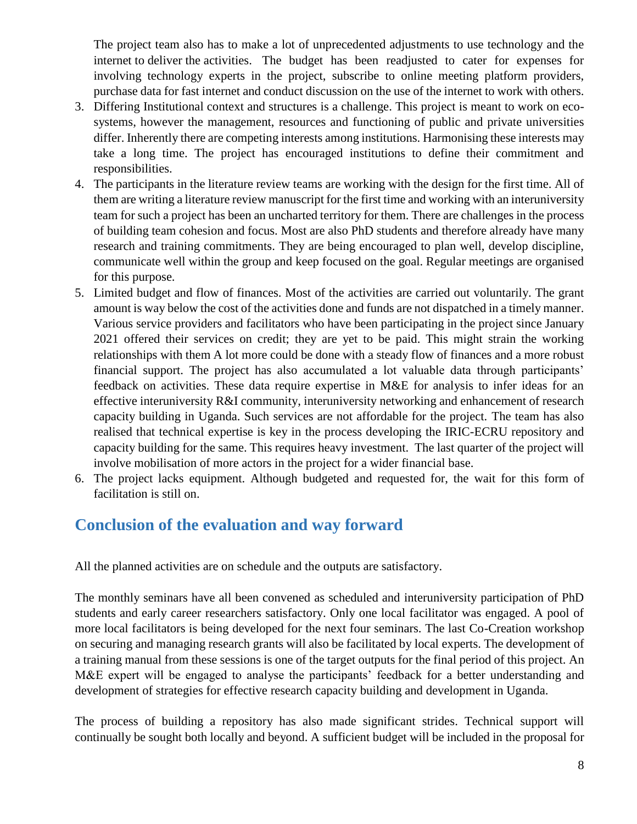The project team also has to make a lot of unprecedented adjustments to use technology and the internet to deliver the activities. The budget has been readjusted to cater for expenses for involving technology experts in the project, subscribe to online meeting platform providers, purchase data for fast internet and conduct discussion on the use of the internet to work with others.

- 3. Differing Institutional context and structures is a challenge. This project is meant to work on ecosystems, however the management, resources and functioning of public and private universities differ. Inherently there are competing interests among institutions. Harmonising these interests may take a long time. The project has encouraged institutions to define their commitment and responsibilities.
- 4. The participants in the literature review teams are working with the design for the first time. All of them are writing a literature review manuscript for the first time and working with an interuniversity team for such a project has been an uncharted territory for them. There are challenges in the process of building team cohesion and focus. Most are also PhD students and therefore already have many research and training commitments. They are being encouraged to plan well, develop discipline, communicate well within the group and keep focused on the goal. Regular meetings are organised for this purpose.
- 5. Limited budget and flow of finances. Most of the activities are carried out voluntarily. The grant amount is way below the cost of the activities done and funds are not dispatched in a timely manner. Various service providers and facilitators who have been participating in the project since January 2021 offered their services on credit; they are yet to be paid. This might strain the working relationships with them A lot more could be done with a steady flow of finances and a more robust financial support. The project has also accumulated a lot valuable data through participants' feedback on activities. These data require expertise in M&E for analysis to infer ideas for an effective interuniversity R&I community, interuniversity networking and enhancement of research capacity building in Uganda. Such services are not affordable for the project. The team has also realised that technical expertise is key in the process developing the IRIC-ECRU repository and capacity building for the same. This requires heavy investment. The last quarter of the project will involve mobilisation of more actors in the project for a wider financial base.
- 6. The project lacks equipment. Although budgeted and requested for, the wait for this form of facilitation is still on.

### <span id="page-8-0"></span>**Conclusion of the evaluation and way forward**

All the planned activities are on schedule and the outputs are satisfactory.

The monthly seminars have all been convened as scheduled and interuniversity participation of PhD students and early career researchers satisfactory. Only one local facilitator was engaged. A pool of more local facilitators is being developed for the next four seminars. The last Co-Creation workshop on securing and managing research grants will also be facilitated by local experts. The development of a training manual from these sessions is one of the target outputs for the final period of this project. An M&E expert will be engaged to analyse the participants' feedback for a better understanding and development of strategies for effective research capacity building and development in Uganda.

The process of building a repository has also made significant strides. Technical support will continually be sought both locally and beyond. A sufficient budget will be included in the proposal for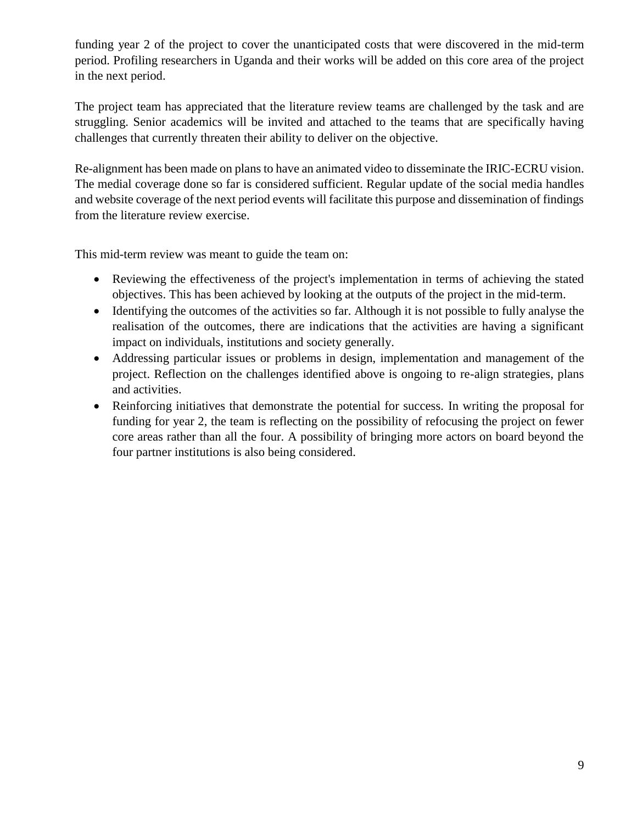funding year 2 of the project to cover the unanticipated costs that were discovered in the mid-term period. Profiling researchers in Uganda and their works will be added on this core area of the project in the next period.

The project team has appreciated that the literature review teams are challenged by the task and are struggling. Senior academics will be invited and attached to the teams that are specifically having challenges that currently threaten their ability to deliver on the objective.

Re-alignment has been made on plans to have an animated video to disseminate the IRIC-ECRU vision. The medial coverage done so far is considered sufficient. Regular update of the social media handles and website coverage of the next period events will facilitate this purpose and dissemination of findings from the literature review exercise.

This mid-term review was meant to guide the team on:

- Reviewing the effectiveness of the project's implementation in terms of achieving the stated objectives. This has been achieved by looking at the outputs of the project in the mid-term.
- Identifying the outcomes of the activities so far. Although it is not possible to fully analyse the realisation of the outcomes, there are indications that the activities are having a significant impact on individuals, institutions and society generally.
- Addressing particular issues or problems in design, implementation and management of the project. Reflection on the challenges identified above is ongoing to re-align strategies, plans and activities.
- Reinforcing initiatives that demonstrate the potential for success. In writing the proposal for funding for year 2, the team is reflecting on the possibility of refocusing the project on fewer core areas rather than all the four. A possibility of bringing more actors on board beyond the four partner institutions is also being considered.